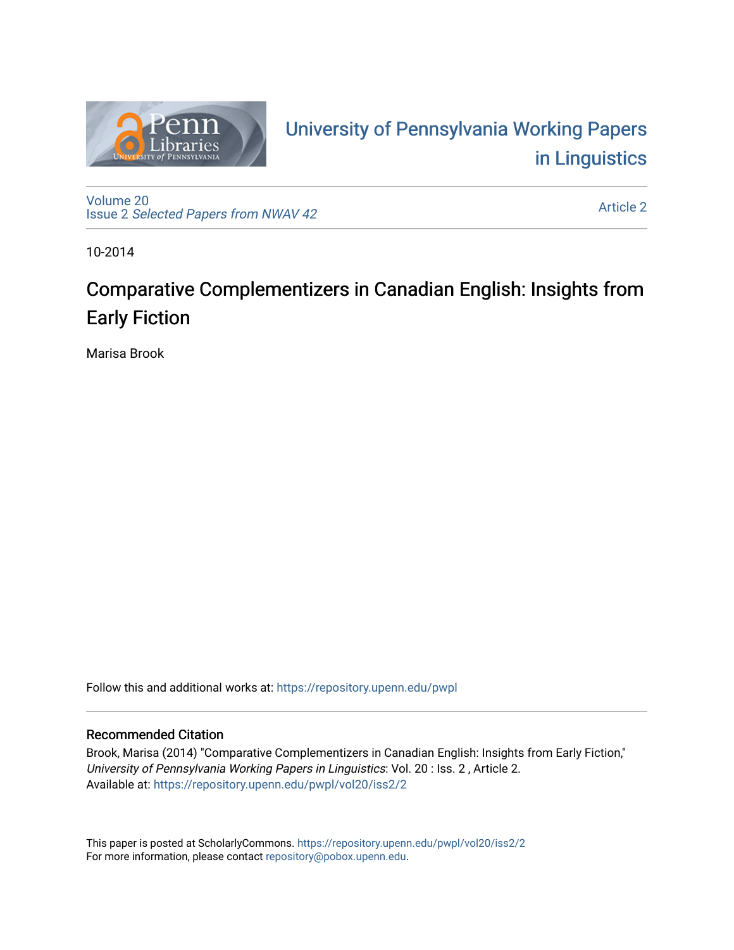

# University of P[ennsylvania Working P](https://repository.upenn.edu/pwpl)apers [in Linguistics](https://repository.upenn.edu/pwpl)

[Volume 20](https://repository.upenn.edu/pwpl/vol20) Issue 2 [Selected Papers from NWAV 42](https://repository.upenn.edu/pwpl/vol20/iss2) 

[Article 2](https://repository.upenn.edu/pwpl/vol20/iss2/2) 

10-2014

# Comparative Complementizers in Canadian English: Insights from Early Fiction

Marisa Brook

Follow this and additional works at: [https://repository.upenn.edu/pwpl](https://repository.upenn.edu/pwpl?utm_source=repository.upenn.edu%2Fpwpl%2Fvol20%2Fiss2%2F2&utm_medium=PDF&utm_campaign=PDFCoverPages) 

### Recommended Citation

Brook, Marisa (2014) "Comparative Complementizers in Canadian English: Insights from Early Fiction," University of Pennsylvania Working Papers in Linguistics: Vol. 20 : Iss. 2 , Article 2. Available at: [https://repository.upenn.edu/pwpl/vol20/iss2/2](https://repository.upenn.edu/pwpl/vol20/iss2/2?utm_source=repository.upenn.edu%2Fpwpl%2Fvol20%2Fiss2%2F2&utm_medium=PDF&utm_campaign=PDFCoverPages) 

This paper is posted at ScholarlyCommons.<https://repository.upenn.edu/pwpl/vol20/iss2/2> For more information, please contact [repository@pobox.upenn.edu.](mailto:repository@pobox.upenn.edu)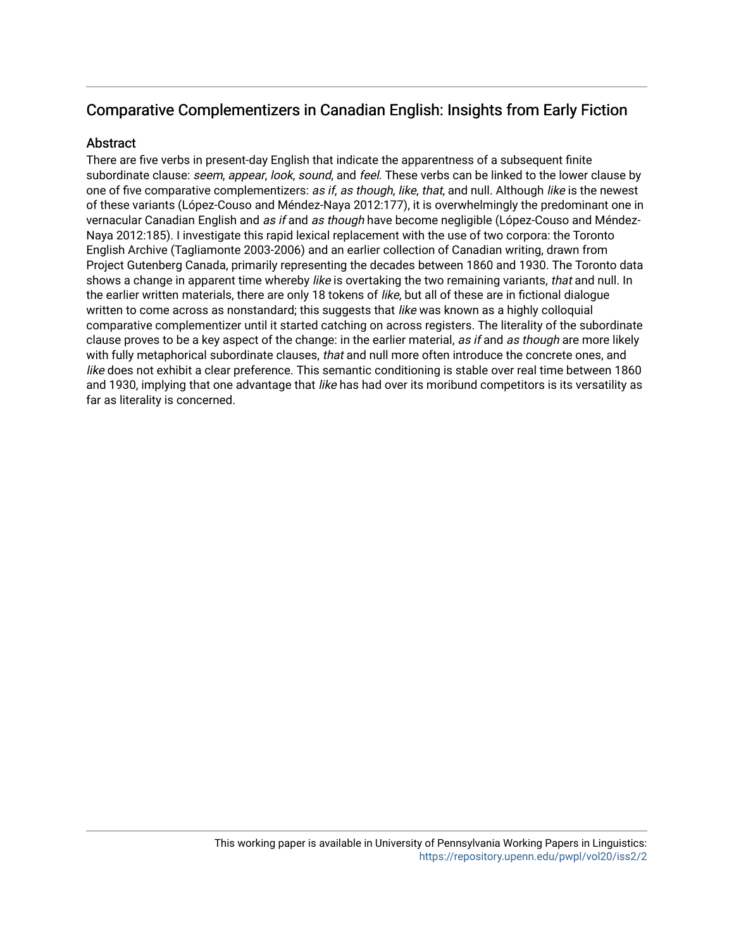## Comparative Complementizers in Canadian English: Insights from Early Fiction

## **Abstract**

There are five verbs in present-day English that indicate the apparentness of a subsequent finite subordinate clause: seem, appear, look, sound, and feel. These verbs can be linked to the lower clause by one of five comparative complementizers: as if, as though, like, that, and null. Although like is the newest of these variants (López-Couso and Méndez-Naya 2012:177), it is overwhelmingly the predominant one in vernacular Canadian English and as if and as though have become negligible (López-Couso and Méndez-Naya 2012:185). I investigate this rapid lexical replacement with the use of two corpora: the Toronto English Archive (Tagliamonte 2003-2006) and an earlier collection of Canadian writing, drawn from Project Gutenberg Canada, primarily representing the decades between 1860 and 1930. The Toronto data shows a change in apparent time whereby like is overtaking the two remaining variants, that and null. In the earlier written materials, there are only 18 tokens of like, but all of these are in fictional dialogue written to come across as nonstandard; this suggests that like was known as a highly colloquial comparative complementizer until it started catching on across registers. The literality of the subordinate clause proves to be a key aspect of the change: in the earlier material, as if and as though are more likely with fully metaphorical subordinate clauses, that and null more often introduce the concrete ones, and like does not exhibit a clear preference. This semantic conditioning is stable over real time between 1860 and 1930, implying that one advantage that like has had over its moribund competitors is its versatility as far as literality is concerned.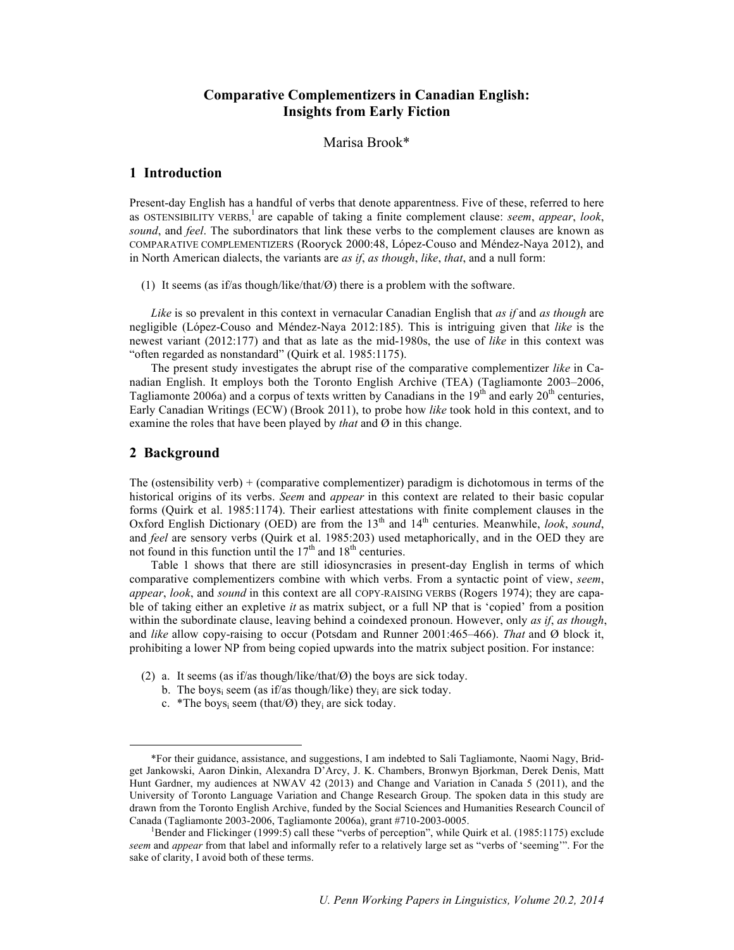### **Comparative Complementizers in Canadian English: Insights from Early Fiction**

Marisa Brook\*

#### **1 Introduction**

Present-day English has a handful of verbs that denote apparentness. Five of these, referred to here as OSTENSIBILITY VERBS, <sup>1</sup> are capable of taking a finite complement clause: *seem*, *appear*, *look*, *sound*, and *feel*. The subordinators that link these verbs to the complement clauses are known as COMPARATIVE COMPLEMENTIZERS (Rooryck 2000:48, López-Couso and Méndez-Naya 2012), and in North American dialects, the variants are *as if*, *as though*, *like*, *that*, and a null form:

(1) It seems (as if/as though/like/that/Ø) there is a problem with the software.

*Like* is so prevalent in this context in vernacular Canadian English that *as if* and *as though* are negligible (López-Couso and Méndez-Naya 2012:185). This is intriguing given that *like* is the newest variant (2012:177) and that as late as the mid-1980s, the use of *like* in this context was "often regarded as nonstandard" (Quirk et al. 1985:1175).

The present study investigates the abrupt rise of the comparative complementizer *like* in Canadian English. It employs both the Toronto English Archive (TEA) (Tagliamonte 2003–2006, Tagliamonte 2006a) and a corpus of texts written by Canadians in the  $19<sup>th</sup>$  and early  $20<sup>th</sup>$  centuries, Early Canadian Writings (ECW) (Brook 2011), to probe how *like* took hold in this context, and to examine the roles that have been played by *that* and Ø in this change.

#### **2 Background**

The (ostensibility verb) + (comparative complementizer) paradigm is dichotomous in terms of the historical origins of its verbs. *Seem* and *appear* in this context are related to their basic copular forms (Quirk et al. 1985:1174). Their earliest attestations with finite complement clauses in the Oxford English Dictionary (OED) are from the 13<sup>th</sup> and 14<sup>th</sup> centuries. Meanwhile, *look*, *sound*, and *feel* are sensory verbs (Quirk et al. 1985:203) used metaphorically, and in the OED they are not found in this function until the  $17<sup>th</sup>$  and  $18<sup>th</sup>$  centuries.

Table 1 shows that there are still idiosyncrasies in present-day English in terms of which comparative complementizers combine with which verbs. From a syntactic point of view, *seem*, *appear*, *look*, and *sound* in this context are all COPY-RAISING VERBS (Rogers 1974); they are capable of taking either an expletive *it* as matrix subject, or a full NP that is 'copied' from a position within the subordinate clause, leaving behind a coindexed pronoun. However, only *as if*, *as though*, and *like* allow copy-raising to occur (Potsdam and Runner 2001:465–466). *That* and Ø block it, prohibiting a lower NP from being copied upwards into the matrix subject position. For instance:

- (2) a. It seems (as if/as though/like/that/Ø) the boys are sick today.
	- b. The boys<sub>i</sub> seem (as if/as though/like) they<sub>i</sub> are sick today.
	- c. \*The boys<sub>i</sub> seem (that/ $\emptyset$ ) they<sub>i</sub> are sick today.

 <sup>\*</sup>For their guidance, assistance, and suggestions, I am indebted to Sali Tagliamonte, Naomi Nagy, Bridget Jankowski, Aaron Dinkin, Alexandra D'Arcy, J. K. Chambers, Bronwyn Bjorkman, Derek Denis, Matt Hunt Gardner, my audiences at NWAV 42 (2013) and Change and Variation in Canada 5 (2011), and the University of Toronto Language Variation and Change Research Group. The spoken data in this study are drawn from the Toronto English Archive, funded by the Social Sciences and Humanities Research Council of Canada (Tagliamonte 2003-2006, Tagliamonte 2006a), grant #710-2003-0005. <sup>1</sup>

Bender and Flickinger (1999:5) call these "verbs of perception", while Quirk et al. (1985:1175) exclude *seem* and *appear* from that label and informally refer to a relatively large set as "verbs of 'seeming'". For the sake of clarity, I avoid both of these terms.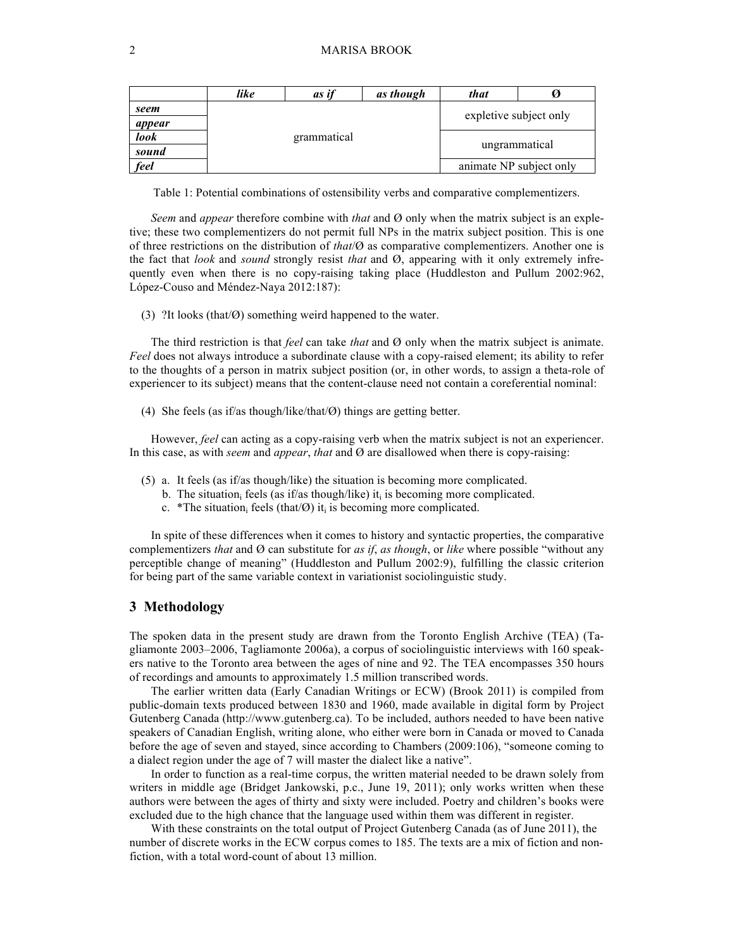|             | like | as if       | as though               | that                   |  |  |
|-------------|------|-------------|-------------------------|------------------------|--|--|
| seem        |      |             |                         | expletive subject only |  |  |
| appear      |      |             |                         |                        |  |  |
| <i>look</i> |      | grammatical |                         |                        |  |  |
| sound       |      |             | ungrammatical           |                        |  |  |
| feel        |      |             | animate NP subject only |                        |  |  |

Table 1: Potential combinations of ostensibility verbs and comparative complementizers.

*Seem* and *appear* therefore combine with *that* and Ø only when the matrix subject is an expletive; these two complementizers do not permit full NPs in the matrix subject position. This is one of three restrictions on the distribution of *that*/Ø as comparative complementizers. Another one is the fact that *look* and *sound* strongly resist *that* and Ø, appearing with it only extremely infrequently even when there is no copy-raising taking place (Huddleston and Pullum 2002:962, López-Couso and Méndez-Naya 2012:187):

(3) ?It looks (that/Ø) something weird happened to the water.

The third restriction is that *feel* can take *that* and Ø only when the matrix subject is animate. *Feel* does not always introduce a subordinate clause with a copy-raised element; its ability to refer to the thoughts of a person in matrix subject position (or, in other words, to assign a theta-role of experiencer to its subject) means that the content-clause need not contain a coreferential nominal:

(4) She feels (as if/as though/like/that/Ø) things are getting better.

However, *feel* can acting as a copy-raising verb when the matrix subject is not an experiencer. In this case, as with *seem* and *appear*, *that* and Ø are disallowed when there is copy-raising:

- (5) a. It feels (as if/as though/like) the situation is becoming more complicated.
	- b. The situation<sub>i</sub> feels (as if/as though/like) it<sub>i</sub> is becoming more complicated.
	- c. \*The situation, feels (that/ $\emptyset$ ) it, is becoming more complicated.

In spite of these differences when it comes to history and syntactic properties, the comparative complementizers *that* and Ø can substitute for *as if*, *as though*, or *like* where possible "without any perceptible change of meaning" (Huddleston and Pullum 2002:9), fulfilling the classic criterion for being part of the same variable context in variationist sociolinguistic study.

#### **3 Methodology**

The spoken data in the present study are drawn from the Toronto English Archive (TEA) (Tagliamonte 2003–2006, Tagliamonte 2006a), a corpus of sociolinguistic interviews with 160 speakers native to the Toronto area between the ages of nine and 92. The TEA encompasses 350 hours of recordings and amounts to approximately 1.5 million transcribed words.

The earlier written data (Early Canadian Writings or ECW) (Brook 2011) is compiled from public-domain texts produced between 1830 and 1960, made available in digital form by Project Gutenberg Canada (http://www.gutenberg.ca). To be included, authors needed to have been native speakers of Canadian English, writing alone, who either were born in Canada or moved to Canada before the age of seven and stayed, since according to Chambers (2009:106), "someone coming to a dialect region under the age of 7 will master the dialect like a native".

In order to function as a real-time corpus, the written material needed to be drawn solely from writers in middle age (Bridget Jankowski, p.c., June 19, 2011); only works written when these authors were between the ages of thirty and sixty were included. Poetry and children's books were excluded due to the high chance that the language used within them was different in register.

With these constraints on the total output of Project Gutenberg Canada (as of June 2011), the number of discrete works in the ECW corpus comes to 185. The texts are a mix of fiction and nonfiction, with a total word-count of about 13 million.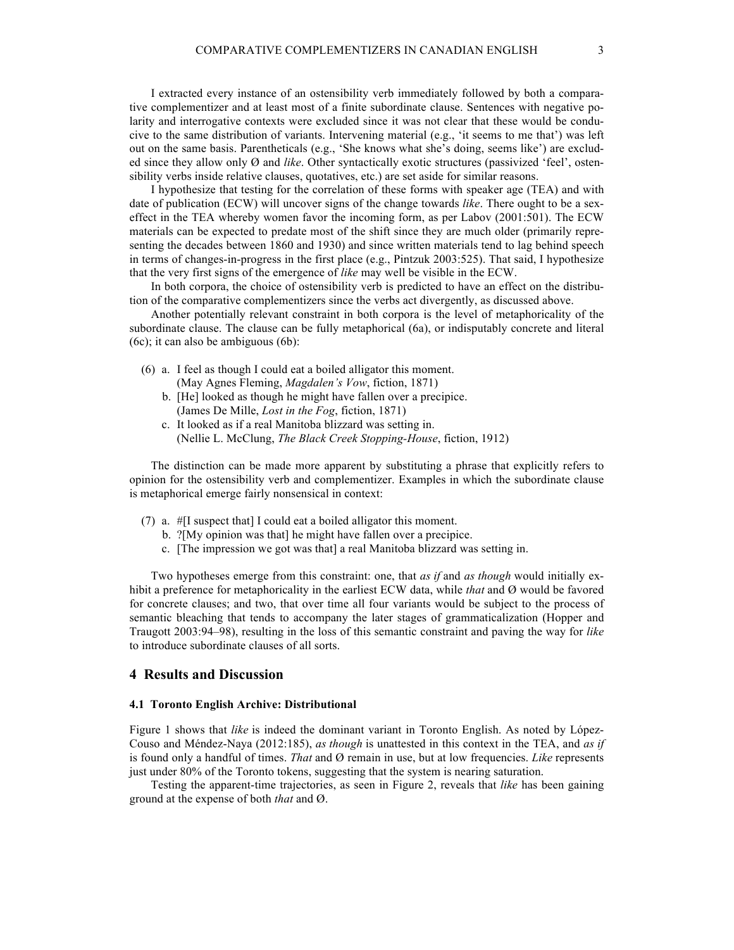I extracted every instance of an ostensibility verb immediately followed by both a comparative complementizer and at least most of a finite subordinate clause. Sentences with negative polarity and interrogative contexts were excluded since it was not clear that these would be conducive to the same distribution of variants. Intervening material (e.g., 'it seems to me that') was left out on the same basis. Parentheticals (e.g., 'She knows what she's doing, seems like') are excluded since they allow only Ø and *like*. Other syntactically exotic structures (passivized 'feel', ostensibility verbs inside relative clauses, quotatives, etc.) are set aside for similar reasons.

I hypothesize that testing for the correlation of these forms with speaker age (TEA) and with date of publication (ECW) will uncover signs of the change towards *like*. There ought to be a sexeffect in the TEA whereby women favor the incoming form, as per Labov (2001:501). The ECW materials can be expected to predate most of the shift since they are much older (primarily representing the decades between 1860 and 1930) and since written materials tend to lag behind speech in terms of changes-in-progress in the first place (e.g., Pintzuk 2003:525). That said, I hypothesize that the very first signs of the emergence of *like* may well be visible in the ECW.

In both corpora, the choice of ostensibility verb is predicted to have an effect on the distribution of the comparative complementizers since the verbs act divergently, as discussed above.

Another potentially relevant constraint in both corpora is the level of metaphoricality of the subordinate clause. The clause can be fully metaphorical (6a), or indisputably concrete and literal (6c); it can also be ambiguous (6b):

- (6) a. I feel as though I could eat a boiled alligator this moment. (May Agnes Fleming, *Magdalen's Vow*, fiction, 1871)
	- b. [He] looked as though he might have fallen over a precipice. (James De Mille, *Lost in the Fog*, fiction, 1871)
	- c. It looked as if a real Manitoba blizzard was setting in. (Nellie L. McClung, *The Black Creek Stopping-House*, fiction, 1912)

The distinction can be made more apparent by substituting a phrase that explicitly refers to opinion for the ostensibility verb and complementizer. Examples in which the subordinate clause is metaphorical emerge fairly nonsensical in context:

- (7) a. #[I suspect that] I could eat a boiled alligator this moment.
	- b. ?[My opinion was that] he might have fallen over a precipice.
	- c. [The impression we got was that] a real Manitoba blizzard was setting in.

Two hypotheses emerge from this constraint: one, that *as if* and *as though* would initially exhibit a preference for metaphoricality in the earliest ECW data, while *that* and Ø would be favored for concrete clauses; and two, that over time all four variants would be subject to the process of semantic bleaching that tends to accompany the later stages of grammaticalization (Hopper and Traugott 2003:94–98), resulting in the loss of this semantic constraint and paving the way for *like*  to introduce subordinate clauses of all sorts.

#### **4 Results and Discussion**

#### **4.1 Toronto English Archive: Distributional**

Figure 1 shows that *like* is indeed the dominant variant in Toronto English. As noted by López-Couso and Méndez-Naya (2012:185), *as though* is unattested in this context in the TEA, and *as if*  is found only a handful of times. *That* and Ø remain in use, but at low frequencies. *Like* represents just under 80% of the Toronto tokens, suggesting that the system is nearing saturation.

Testing the apparent-time trajectories, as seen in Figure 2, reveals that *like* has been gaining ground at the expense of both *that* and Ø.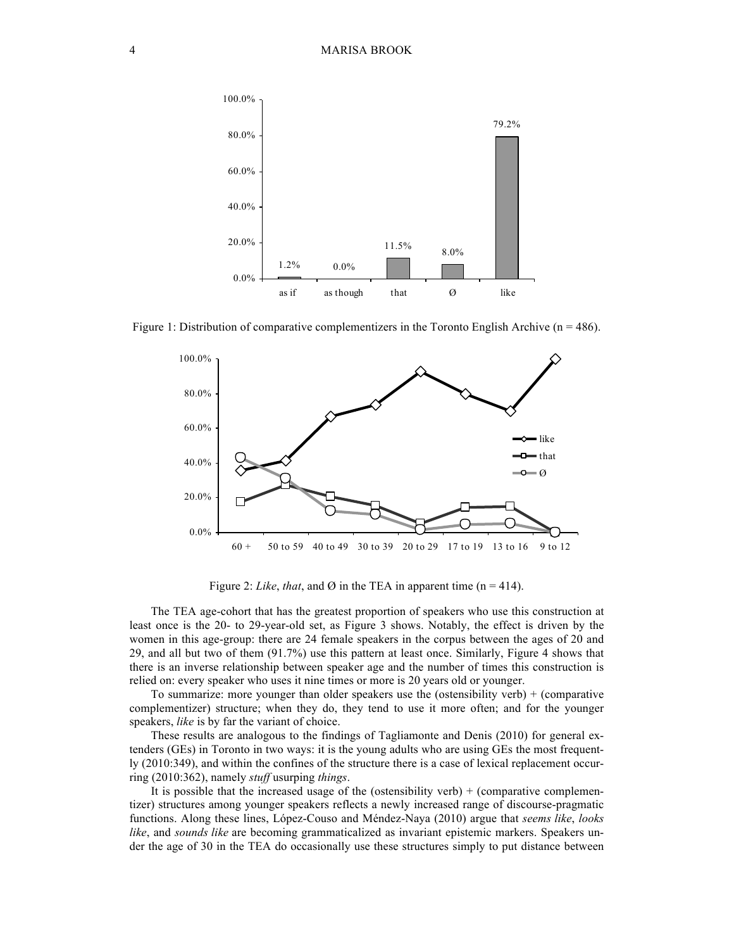

Figure 1: Distribution of comparative complementizers in the Toronto English Archive ( $n = 486$ ).



Figure 2: *Like*, *that*, and Ø in the TEA in apparent time ( $n = 414$ ).

The TEA age-cohort that has the greatest proportion of speakers who use this construction at least once is the 20- to 29-year-old set, as Figure 3 shows. Notably, the effect is driven by the women in this age-group: there are 24 female speakers in the corpus between the ages of 20 and 29, and all but two of them (91.7%) use this pattern at least once. Similarly, Figure 4 shows that there is an inverse relationship between speaker age and the number of times this construction is relied on: every speaker who uses it nine times or more is 20 years old or younger.

To summarize: more younger than older speakers use the (ostensibility verb) + (comparative complementizer) structure; when they do, they tend to use it more often; and for the younger speakers, *like* is by far the variant of choice.

These results are analogous to the findings of Tagliamonte and Denis (2010) for general extenders (GEs) in Toronto in two ways: it is the young adults who are using GEs the most frequently (2010:349), and within the confines of the structure there is a case of lexical replacement occurring (2010:362), namely *stuff* usurping *things*.

It is possible that the increased usage of the (ostensibility verb)  $+$  (comparative complementizer) structures among younger speakers reflects a newly increased range of discourse-pragmatic functions. Along these lines, López-Couso and Méndez-Naya (2010) argue that *seems like*, *looks like*, and *sounds like* are becoming grammaticalized as invariant epistemic markers. Speakers under the age of 30 in the TEA do occasionally use these structures simply to put distance between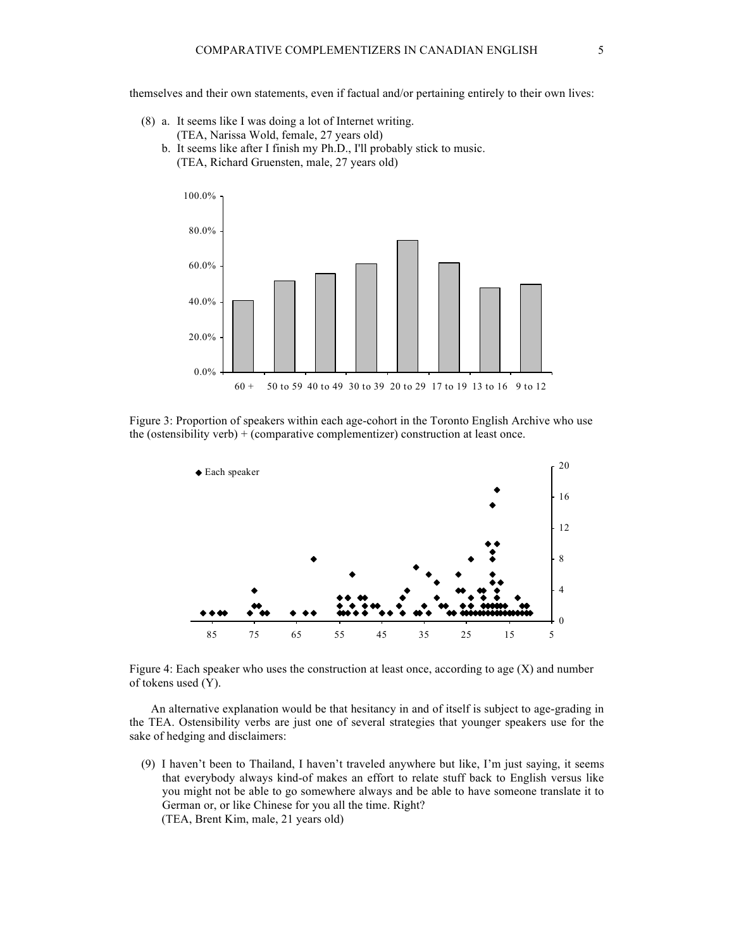themselves and their own statements, even if factual and/or pertaining entirely to their own lives:

- (8) a. It seems like I was doing a lot of Internet writing. (TEA, Narissa Wold, female, 27 years old)
	- b. It seems like after I finish my Ph.D., I'll probably stick to music. (TEA, Richard Gruensten, male, 27 years old)



Figure 3: Proportion of speakers within each age-cohort in the Toronto English Archive who use the (ostensibility verb) + (comparative complementizer) construction at least once.



Figure 4: Each speaker who uses the construction at least once, according to age (X) and number of tokens used (Y).

An alternative explanation would be that hesitancy in and of itself is subject to age-grading in the TEA. Ostensibility verbs are just one of several strategies that younger speakers use for the sake of hedging and disclaimers:

(9) I haven't been to Thailand, I haven't traveled anywhere but like, I'm just saying, it seems that everybody always kind-of makes an effort to relate stuff back to English versus like you might not be able to go somewhere always and be able to have someone translate it to German or, or like Chinese for you all the time. Right? (TEA, Brent Kim, male, 21 years old)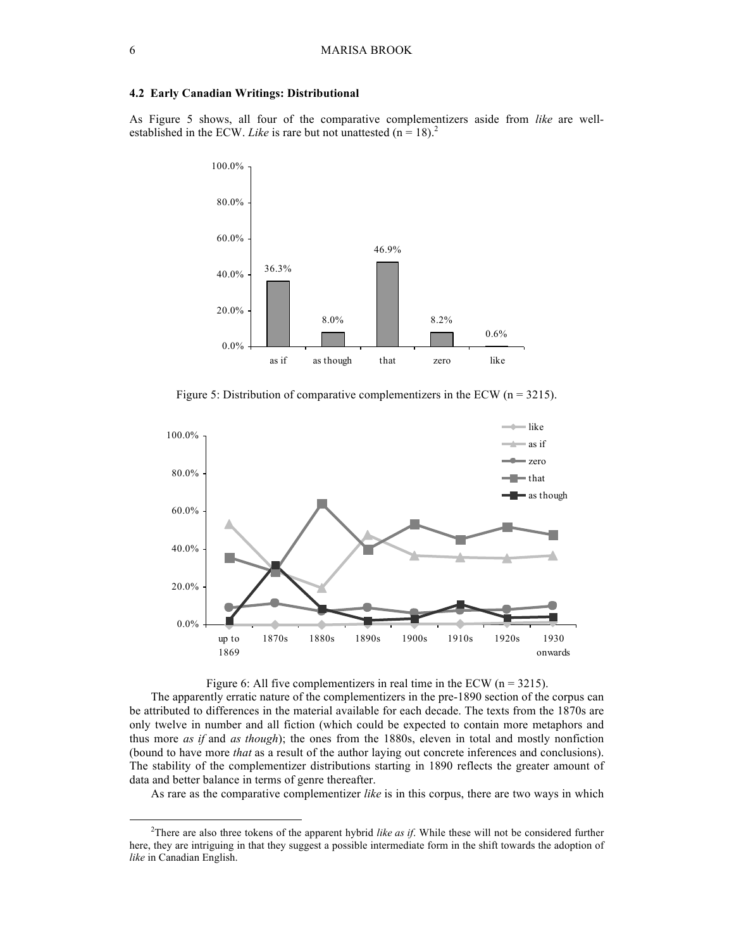#### **4.2 Early Canadian Writings: Distributional**

As Figure 5 shows, all four of the comparative complementizers aside from *like* are wellestablished in the ECW. *Like* is rare but not unattested  $(n = 18)^2$ .



Figure 5: Distribution of comparative complementizers in the ECW ( $n = 3215$ ).





The apparently erratic nature of the complementizers in the pre-1890 section of the corpus can be attributed to differences in the material available for each decade. The texts from the 1870s are only twelve in number and all fiction (which could be expected to contain more metaphors and thus more *as if* and *as though*); the ones from the 1880s, eleven in total and mostly nonfiction (bound to have more *that* as a result of the author laying out concrete inferences and conclusions). The stability of the complementizer distributions starting in 1890 reflects the greater amount of data and better balance in terms of genre thereafter.

As rare as the comparative complementizer *like* is in this corpus, there are two ways in which

 <sup>2</sup> <sup>2</sup>There are also three tokens of the apparent hybrid *like as if*. While these will not be considered further here, they are intriguing in that they suggest a possible intermediate form in the shift towards the adoption of *like* in Canadian English.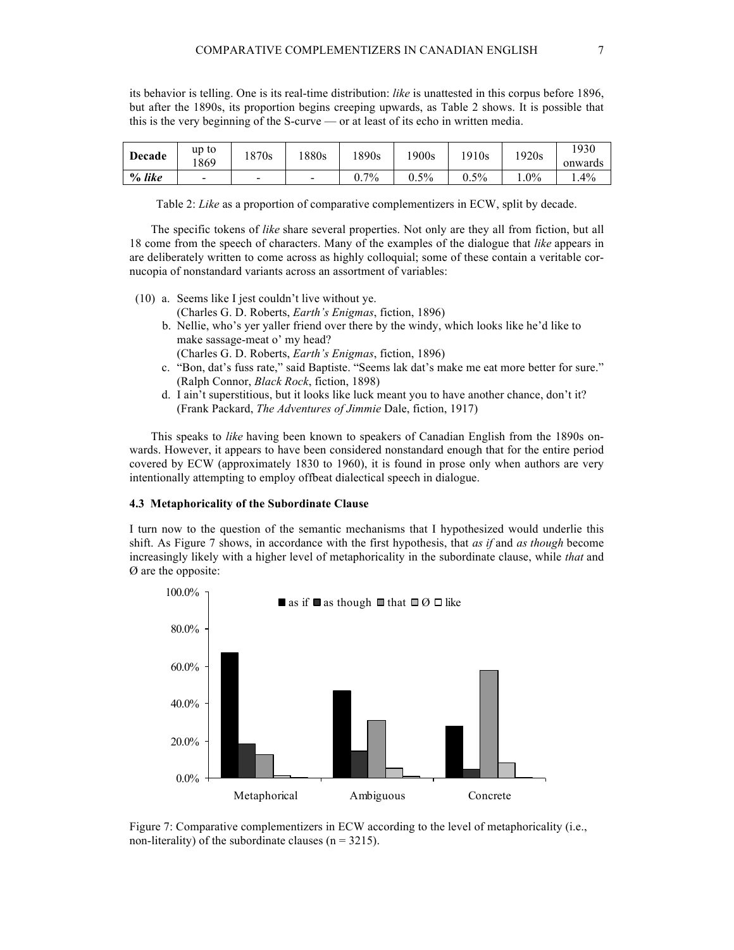its behavior is telling. One is its real-time distribution: *like* is unattested in this corpus before 1896, but after the 1890s, its proportion begins creeping upwards, as Table 2 shows. It is possible that this is the very beginning of the S-curve — or at least of its echo in written media.

| <b>Decade</b> | up to<br>869             | 870s                     | 880s                     | !890s                        | 900s    | 1910s   | 1920s  | 1930<br>onwards |
|---------------|--------------------------|--------------------------|--------------------------|------------------------------|---------|---------|--------|-----------------|
| $\%$ like     | $\overline{\phantom{a}}$ | $\overline{\phantom{a}}$ | $\overline{\phantom{0}}$ | $7\%$<br>$\mathsf{U}_{\tau}$ | $0.5\%$ | $0.5\%$ | $.0\%$ | $.4\%$          |

Table 2: *Like* as a proportion of comparative complementizers in ECW, split by decade.

The specific tokens of *like* share several properties. Not only are they all from fiction, but all 18 come from the speech of characters. Many of the examples of the dialogue that *like* appears in are deliberately written to come across as highly colloquial; some of these contain a veritable cornucopia of nonstandard variants across an assortment of variables:

- (10) a. Seems like I jest couldn't live without ye.
	- (Charles G. D. Roberts, *Earth's Enigmas*, fiction, 1896)
	- b. Nellie, who's yer yaller friend over there by the windy, which looks like he'd like to make sassage-meat o' my head?
	- (Charles G. D. Roberts, *Earth's Enigmas*, fiction, 1896)
	- c. "Bon, dat's fuss rate," said Baptiste. "Seems lak dat's make me eat more better for sure." (Ralph Connor, *Black Rock*, fiction, 1898)
	- d. I ain't superstitious, but it looks like luck meant you to have another chance, don't it? (Frank Packard, *The Adventures of Jimmie* Dale, fiction, 1917)

This speaks to *like* having been known to speakers of Canadian English from the 1890s onwards. However, it appears to have been considered nonstandard enough that for the entire period covered by ECW (approximately 1830 to 1960), it is found in prose only when authors are very intentionally attempting to employ offbeat dialectical speech in dialogue.

#### **4.3 Metaphoricality of the Subordinate Clause**

I turn now to the question of the semantic mechanisms that I hypothesized would underlie this shift. As Figure 7 shows, in accordance with the first hypothesis, that *as if* and *as though* become increasingly likely with a higher level of metaphoricality in the subordinate clause, while *that* and Ø are the opposite:



Figure 7: Comparative complementizers in ECW according to the level of metaphoricality (i.e., non-literality) of the subordinate clauses ( $n = 3215$ ).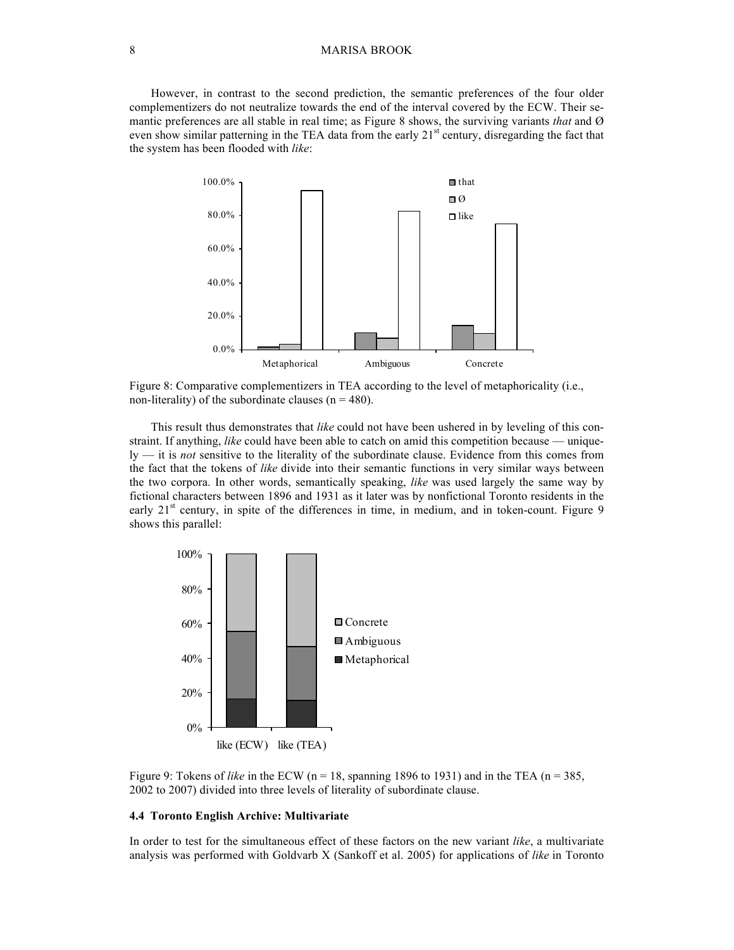#### 8 MARISA BROOK

However, in contrast to the second prediction, the semantic preferences of the four older complementizers do not neutralize towards the end of the interval covered by the ECW. Their semantic preferences are all stable in real time; as Figure 8 shows, the surviving variants *that* and Ø even show similar patterning in the TEA data from the early  $21<sup>st</sup>$  century, disregarding the fact that the system has been flooded with *like*:



Figure 8: Comparative complementizers in TEA according to the level of metaphoricality (i.e., non-literality) of the subordinate clauses ( $n = 480$ ).

This result thus demonstrates that *like* could not have been ushered in by leveling of this constraint. If anything, *like* could have been able to catch on amid this competition because — uniquely — it is *not* sensitive to the literality of the subordinate clause. Evidence from this comes from the fact that the tokens of *like* divide into their semantic functions in very similar ways between the two corpora. In other words, semantically speaking, *like* was used largely the same way by fictional characters between 1896 and 1931 as it later was by nonfictional Toronto residents in the early  $21<sup>st</sup>$  century, in spite of the differences in time, in medium, and in token-count. Figure 9 shows this parallel:



Figure 9: Tokens of *like* in the ECW (n = 18, spanning 1896 to 1931) and in the TEA (n = 385, 2002 to 2007) divided into three levels of literality of subordinate clause.

#### **4.4 Toronto English Archive: Multivariate**

In order to test for the simultaneous effect of these factors on the new variant *like*, a multivariate analysis was performed with Goldvarb X (Sankoff et al. 2005) for applications of *like* in Toronto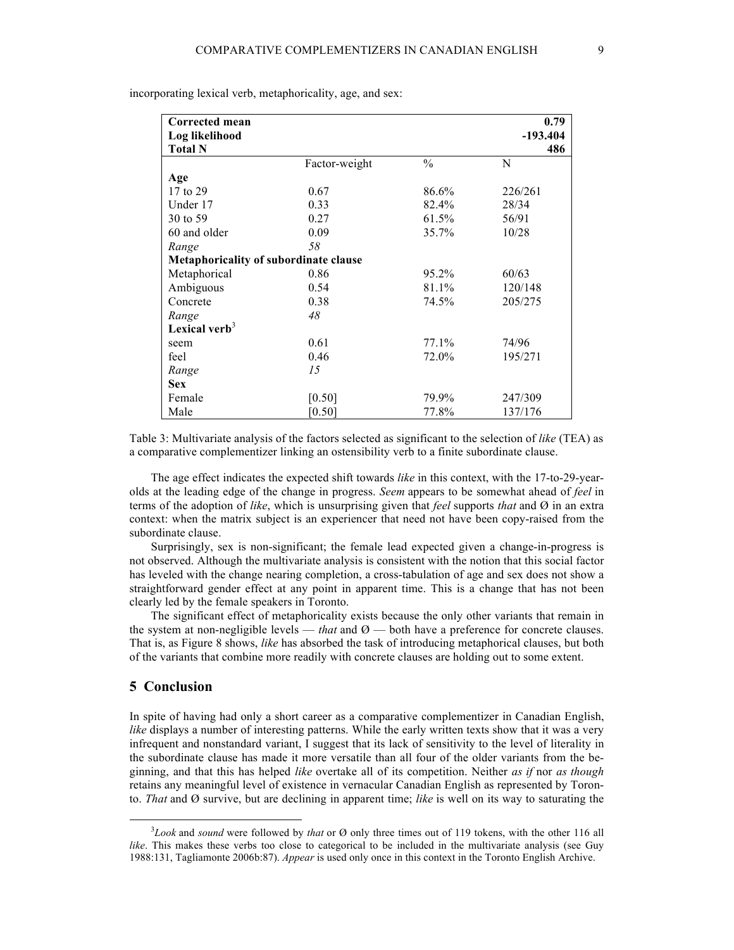| Corrected mean                        |               |               | 0.79       |
|---------------------------------------|---------------|---------------|------------|
| Log likelihood                        |               |               | $-193.404$ |
| <b>Total N</b>                        |               |               | 486        |
|                                       | Factor-weight | $\frac{0}{0}$ | N          |
| Age                                   |               |               |            |
| 17 to 29                              | 0.67          | 86.6%         | 226/261    |
| Under 17                              | 0.33          | 82.4%         | 28/34      |
| 30 to 59                              | 0.27          | 61.5%         | 56/91      |
| 60 and older                          | 0.09          | 35.7%         | 10/28      |
| Range                                 | 58            |               |            |
| Metaphoricality of subordinate clause |               |               |            |
| Metaphorical                          | 0.86          | 95.2%         | 60/63      |
| Ambiguous                             | 0.54          | 81.1%         | 120/148    |
| Concrete                              | 0.38          | 74.5%         | 205/275    |
| Range                                 | 48            |               |            |
| Lexical verb $3$                      |               |               |            |
| seem                                  | 0.61          | 77.1%         | 74/96      |
| feel                                  | 0.46          | 72.0%         | 195/271    |
| Range                                 | 15            |               |            |
| <b>Sex</b>                            |               |               |            |
| Female                                | [0.50]        | 79.9%         | 247/309    |
| Male                                  | [0.50]        | 77.8%         | 137/176    |

incorporating lexical verb, metaphoricality, age, and sex:

Table 3: Multivariate analysis of the factors selected as significant to the selection of *like* (TEA) as a comparative complementizer linking an ostensibility verb to a finite subordinate clause.

The age effect indicates the expected shift towards *like* in this context, with the 17-to-29-yearolds at the leading edge of the change in progress. *Seem* appears to be somewhat ahead of *feel* in terms of the adoption of *like*, which is unsurprising given that *feel* supports *that* and Ø in an extra context: when the matrix subject is an experiencer that need not have been copy-raised from the subordinate clause.

Surprisingly, sex is non-significant; the female lead expected given a change-in-progress is not observed. Although the multivariate analysis is consistent with the notion that this social factor has leveled with the change nearing completion, a cross-tabulation of age and sex does not show a straightforward gender effect at any point in apparent time. This is a change that has not been clearly led by the female speakers in Toronto.

The significant effect of metaphoricality exists because the only other variants that remain in the system at non-negligible levels — *that* and  $\varnothing$  — both have a preference for concrete clauses. That is, as Figure 8 shows, *like* has absorbed the task of introducing metaphorical clauses, but both of the variants that combine more readily with concrete clauses are holding out to some extent.

#### **5 Conclusion**

In spite of having had only a short career as a comparative complementizer in Canadian English, *like* displays a number of interesting patterns. While the early written texts show that it was a very infrequent and nonstandard variant, I suggest that its lack of sensitivity to the level of literality in the subordinate clause has made it more versatile than all four of the older variants from the beginning, and that this has helped *like* overtake all of its competition. Neither *as if* nor *as though* retains any meaningful level of existence in vernacular Canadian English as represented by Toronto. *That* and Ø survive, but are declining in apparent time; *like* is well on its way to saturating the

 <sup>3</sup> *Look* and *sound* were followed by *that* or Ø only three times out of 119 tokens, with the other 116 all *like*. This makes these verbs too close to categorical to be included in the multivariate analysis (see Guy 1988:131, Tagliamonte 2006b:87). *Appear* is used only once in this context in the Toronto English Archive.